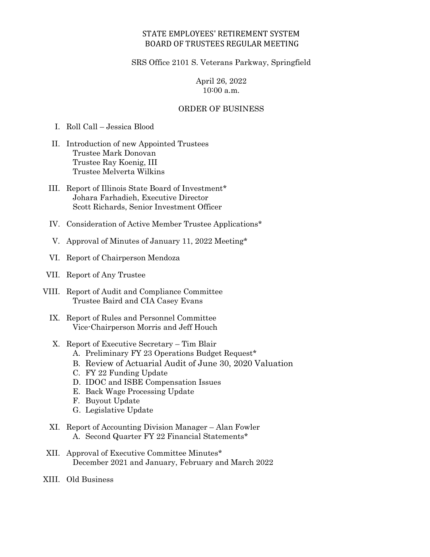### STATE EMPLOYEES' RETIREMENT SYSTEM BOARD OF TRUSTEES REGULAR MEETING

#### SRS Office 2101 S. Veterans Parkway, Springfield

## April 26, 2022 10:00 a.m.

#### ORDER OF BUSINESS

I. Roll Call – Jessica Blood

- II. Introduction of new Appointed Trustees Trustee Mark Donovan Trustee Ray Koenig, III Trustee Melverta Wilkins
- III. Report of Illinois State Board of Investment\* Johara Farhadieh, Executive Director Scott Richards, Senior Investment Officer
- IV. Consideration of Active Member Trustee Applications\*
- V. Approval of Minutes of January 11, 2022 Meeting\*
- VI. Report of Chairperson Mendoza
- VII. Report of Any Trustee
- VIII. Report of Audit and Compliance Committee Trustee Baird and CIA Casey Evans
	- IX. Report of Rules and Personnel Committee Vice-Chairperson Morris and Jeff Houch
	- X. Report of Executive Secretary Tim Blair
		- A. Preliminary FY 23 Operations Budget Request\*
		- B. Review of Actuarial Audit of June 30, 2020 Valuation
		- C. FY 22 Funding Update
		- D. IDOC and ISBE Compensation Issues
		- E. Back Wage Processing Update
		- F. Buyout Update
		- G. Legislative Update
	- XI. Report of Accounting Division Manager Alan Fowler A. Second Quarter FY 22 Financial Statements\*
- XII. Approval of Executive Committee Minutes\* December 2021 and January, February and March 2022
- XIII. Old Business